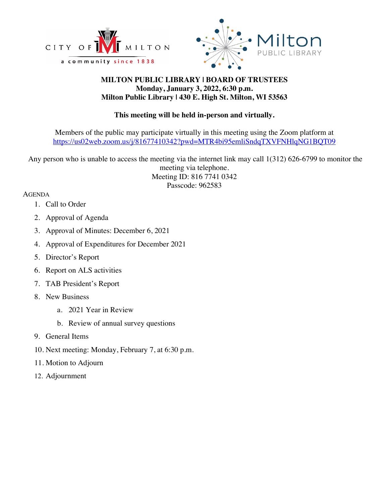



# **MILTON PUBLIC LIBRARY | BOARD OF TRUSTEES Monday, January 3, 2022, 6:30 p.m. Milton Public Library | 430 E. High St. Milton, WI 53563**

# **This meeting will be held in-person and virtually.**

Members of the public may participate virtually in this meeting using the Zoom platform at https://us02web.zoom.us/j/81677410342?pwd=MTR4bi95emliSndqTXVFNHlqNG1BQT09

Any person who is unable to access the meeting via the internet link may call 1(312) 626-6799 to monitor the meeting via telephone. Meeting ID: 816 7741 0342 Passcode: 962583

## AGENDA

- 1. Call to Order
- 2. Approval of Agenda
- 3. Approval of Minutes: December 6, 2021
- 4. Approval of Expenditures for December 2021
- 5. Director's Report
- 6. Report on ALS activities
- 7. TAB President's Report
- 8. New Business
	- a. 2021 Year in Review
	- b. Review of annual survey questions
- 9. General Items
- 10. Next meeting: Monday, February 7, at 6:30 p.m.
- 11. Motion to Adjourn
- 12. Adjournment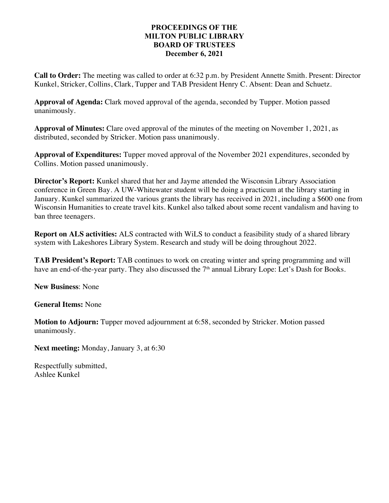## **PROCEEDINGS OF THE MILTON PUBLIC LIBRARY BOARD OF TRUSTEES December 6, 2021**

**Call to Order:** The meeting was called to order at 6:32 p.m. by President Annette Smith. Present: Director Kunkel, Stricker, Collins, Clark, Tupper and TAB President Henry C. Absent: Dean and Schuetz.

**Approval of Agenda:** Clark moved approval of the agenda, seconded by Tupper. Motion passed unanimously.

**Approval of Minutes:** Clare oved approval of the minutes of the meeting on November 1, 2021, as distributed, seconded by Stricker. Motion pass unanimously.

**Approval of Expenditures:** Tupper moved approval of the November 2021 expenditures, seconded by Collins. Motion passed unanimously.

**Director's Report:** Kunkel shared that her and Jayme attended the Wisconsin Library Association conference in Green Bay. A UW-Whitewater student will be doing a practicum at the library starting in January. Kunkel summarized the various grants the library has received in 2021, including a \$600 one from Wisconsin Humanities to create travel kits. Kunkel also talked about some recent vandalism and having to ban three teenagers.

**Report on ALS activities:** ALS contracted with WiLS to conduct a feasibility study of a shared library system with Lakeshores Library System. Research and study will be doing throughout 2022.

**TAB President's Report:** TAB continues to work on creating winter and spring programming and will have an end-of-the-year party. They also discussed the 7<sup>th</sup> annual Library Lope: Let's Dash for Books.

**New Business**: None

**General Items:** None

**Motion to Adjourn:** Tupper moved adjournment at 6:58, seconded by Stricker. Motion passed unanimously.

**Next meeting:** Monday, January 3, at 6:30

Respectfully submitted, Ashlee Kunkel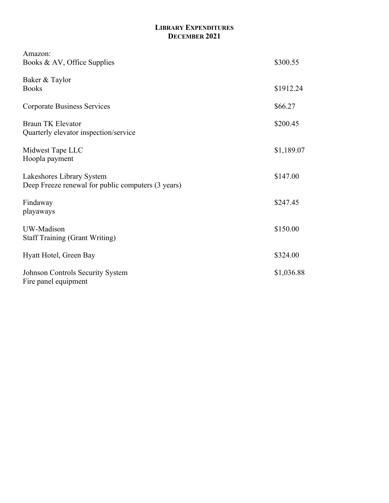# **LIBRARY EXPENDITURES DECEMBER 2021**

| Amazon:<br>Books & AV, Office Supplies                                          | \$300.55   |
|---------------------------------------------------------------------------------|------------|
| Baker & Taylor<br><b>Books</b>                                                  | \$1912.24  |
| <b>Corporate Business Services</b>                                              | \$66.27    |
| Braun TK Elevator<br>Quarterly elevator inspection/service                      | \$200.45   |
| Midwest Tape LLC<br>Hoopla payment                                              | \$1,189.07 |
| Lakeshores Library System<br>Deep Freeze renewal for public computers (3 years) | \$147.00   |
| Findaway<br>playaways                                                           | \$247.45   |
| UW-Madison<br><b>Staff Training (Grant Writing)</b>                             | \$150.00   |
| Hyatt Hotel, Green Bay                                                          | \$324.00   |
| Johnson Controls Security System<br>Fire panel equipment                        | \$1,036.88 |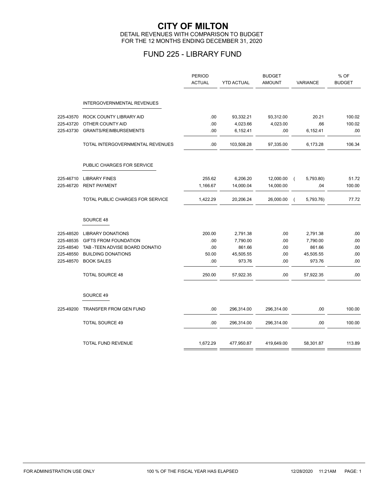### **CITY OF MILTON** DETAIL REVENUES WITH COMPARISON TO BUDGET FOR THE 12 MONTHS ENDING DECEMBER 31, 2020

# FUND 225 - LIBRARY FUND

|           |                                   | <b>PERIOD</b><br><b>ACTUAL</b> | <b>YTD ACTUAL</b> | <b>BUDGET</b><br><b>AMOUNT</b> | <b>VARIANCE</b>             | % OF<br><b>BUDGET</b> |
|-----------|-----------------------------------|--------------------------------|-------------------|--------------------------------|-----------------------------|-----------------------|
|           | <b>INTERGOVERNMENTAL REVENUES</b> |                                |                   |                                |                             |                       |
| 225-43570 | ROCK COUNTY LIBRARY AID           | .00                            | 93,332.21         | 93,312.00                      | 20.21                       | 100.02                |
| 225-43720 | OTHER COUNTY AID                  | .00                            | 4,023.66          | 4,023.00                       | .66                         | 100.02                |
| 225-43730 | <b>GRANTS/REIMBURSEMENTS</b>      | .00                            | 6,152.41          | .00                            | 6,152.41                    | .00                   |
|           | TOTAL INTERGOVERNMENTAL REVENUES  | .00                            | 103,508.28        | 97,335.00                      | 6,173.28                    | 106.34                |
|           | PUBLIC CHARGES FOR SERVICE        |                                |                   |                                |                             |                       |
| 225-46710 | <b>LIBRARY FINES</b>              | 255.62                         | 6,206.20          | 12,000.00                      | 5,793.80)<br>$\overline{ }$ | 51.72                 |
| 225-46720 | <b>RENT PAYMENT</b>               | 1,166.67                       | 14,000.04         | 14,000.00                      | .04                         | 100.00                |
|           | TOTAL PUBLIC CHARGES FOR SERVICE  | 1,422.29                       | 20,206.24         | 26,000.00                      | 5,793.76)<br>$\overline{ }$ | 77.72                 |
|           | SOURCE 48                         |                                |                   |                                |                             |                       |
| 225-48520 | <b>LIBRARY DONATIONS</b>          | 200.00                         | 2,791.38          | .00                            | 2,791.38                    | .00                   |
| 225-48535 | <b>GIFTS FROM FOUNDATION</b>      | .00                            | 7,790.00          | .00                            | 7,790.00                    | .00                   |
| 225-48540 | TAB - TEEN ADVISE BOARD DONATIO   | .00                            | 861.66            | .00                            | 861.66                      | .00                   |
| 225-48550 | <b>BUILDING DONATIONS</b>         | 50.00                          | 45,505.55         | .00                            | 45,505.55                   | .00                   |
| 225-48570 | <b>BOOK SALES</b>                 | .00                            | 973.76            | .00                            | 973.76                      | .00                   |
|           | <b>TOTAL SOURCE 48</b>            | 250.00                         | 57,922.35         | .00                            | 57,922.35                   | .00                   |
|           | SOURCE 49                         |                                |                   |                                |                             |                       |
| 225-49200 | <b>TRANSFER FROM GEN FUND</b>     | .00                            | 296,314.00        | 296,314.00                     | .00.                        | 100.00                |
|           | <b>TOTAL SOURCE 49</b>            | .00                            | 296,314.00        | 296,314.00                     | .00                         | 100.00                |
|           | <b>TOTAL FUND REVENUE</b>         | 1,672.29                       | 477,950.87        | 419,649.00                     | 58,301.87                   | 113.89                |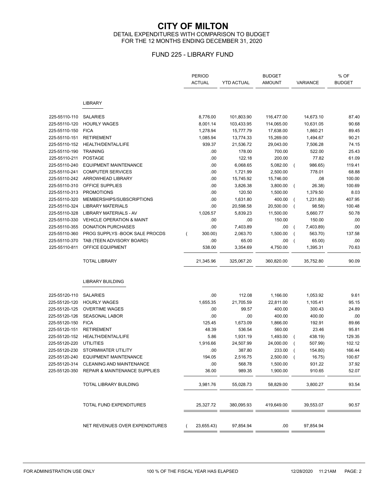### **CITY OF MILTON** DETAIL EXPENDITURES WITH COMPARISON TO BUDGET FOR THE 12 MONTHS ENDING DECEMBER 31, 2020

## FUND 225 - LIBRARY FUND

|               |                                          | <b>PERIOD</b><br><b>ACTUAL</b> | <b>YTD ACTUAL</b> | <b>BUDGET</b><br><b>AMOUNT</b> | VARIANCE                    | % OF<br><b>BUDGET</b> |
|---------------|------------------------------------------|--------------------------------|-------------------|--------------------------------|-----------------------------|-----------------------|
|               | <b>LIBRARY</b>                           |                                |                   |                                |                             |                       |
| 225-55110-110 | <b>SALARIES</b>                          | 8,776.00                       | 101,803.90        | 116,477.00                     | 14,673.10                   | 87.40                 |
| 225-55110-120 | <b>HOURLY WAGES</b>                      | 8,001.14                       | 103,433.95        | 114,065.00                     | 10,631.05                   | 90.68                 |
| 225-55110-150 | <b>FICA</b>                              | 1,278.94                       | 15,777.79         | 17,638.00                      | 1,860.21                    | 89.45                 |
| 225-55110-151 | <b>RETIREMENT</b>                        | 1,085.94                       | 13,774.33         | 15,269.00                      | 1,494.67                    | 90.21                 |
| 225-55110-152 | HEALTH/DENTAL/LIFE                       | 939.37                         | 21,536.72         | 29,043.00                      | 7,506.28                    | 74.15                 |
| 225-55110-190 | <b>TRAINING</b>                          | .00                            | 178.00            | 700.00                         | 522.00                      | 25.43                 |
| 225-55110-211 | <b>POSTAGE</b>                           | .00                            | 122.18            | 200.00                         | 77.82                       | 61.09                 |
| 225-55110-240 | <b>EQUIPMENT MAINTENANCE</b>             | .00                            | 6,068.65          | 5,082.00                       | 986.65)<br>$\sqrt{ }$       | 119.41                |
| 225-55110-241 | <b>COMPUTER SERVICES</b>                 | .00                            | 1,721.99          | 2,500.00                       | 778.01                      | 68.88                 |
| 225-55110-242 | ARROWHEAD LIBRARY                        | .00                            | 15,745.92         | 15,746.00                      | .08                         | 100.00                |
| 225-55110-310 | OFFICE SUPPLIES                          | .00                            | 3,826.38          | 3,800.00                       | 26.38)<br>$\overline{ }$    | 100.69                |
| 225-55110-313 | <b>PROMOTIONS</b>                        | .00                            | 120.50            | 1,500.00                       | 1,379.50                    | 8.03                  |
| 225-55110-320 | MEMBERSHIPS/SUBSCRIPTIONS                | .00                            | 1,631.80          | 400.00                         | 1,231.80)                   | 407.95                |
| 225-55110-324 | <b>LIBRARY MATERIALS</b>                 | .00                            | 20,598.58         | 20,500.00                      | 98.58)<br>$\overline{ }$    | 100.48                |
| 225-55110-328 | LIBRARY MATERIALS - AV                   | 1,026.57                       | 5,839.23          | 11,500.00                      | 5,660.77                    | 50.78                 |
| 225-55110-330 | <b>VEHICLE OPERATION &amp; MAINT</b>     | .00                            | .00               | 150.00                         | 150.00                      | .00                   |
| 225-55110-355 | <b>DONATION PURCHASES</b>                | .00                            | 7,403.89          | .00                            | 7,403.89)<br>$\overline{ }$ | .00                   |
| 225-55110-360 | PROG SUPPLYS - BOOK SALE PROCDS          | 300.00)                        | 2,063.70          | 1,500.00                       | 563.70)                     | 137.58                |
| 225-55110-370 | TAB (TEEN ADVISORY BOARD)                | .00                            | 65.00             | .00                            | 65.00)                      | .00                   |
| 225-55110-811 | OFFICE EQUIPMENT                         | 538.00                         | 3,354.69          | 4,750.00                       | 1,395.31                    | 70.63                 |
|               | <b>TOTAL LIBRARY</b>                     | 21,345.96                      | 325,067.20        | 360,820.00                     | 35,752.80                   | 90.09                 |
|               | <b>LIBRARY BUILDING</b>                  |                                |                   |                                |                             |                       |
|               |                                          |                                |                   |                                |                             |                       |
| 225-55120-110 | <b>SALARIES</b>                          | .00                            | 112.08            | 1,166.00                       | 1,053.92                    | 9.61                  |
| 225-55120-120 | <b>HOURLY WAGES</b>                      | 1,655.35                       | 21,705.59         | 22,811.00                      | 1,105.41                    | 95.15                 |
| 225-55120-125 | <b>OVERTIME WAGES</b>                    | .00                            | 99.57             | 400.00                         | 300.43                      | 24.89                 |
| 225-55120-126 | <b>SEASONAL LABOR</b>                    | .00                            | .00               | 400.00                         | 400.00                      | .00                   |
| 225-55120-150 | <b>FICA</b>                              | 125.45                         | 1,673.09          | 1,866.00                       | 192.91                      | 89.66                 |
| 225-55120-151 | <b>RETIREMENT</b>                        | 48.39                          | 536.54            | 560.00                         | 23.46                       | 95.81                 |
| 225-55120-152 | HEALTH/DENTAL/LIFE                       | 5.86                           | 1,931.19          | 1,493.00                       | 438.19)                     | 129.35                |
| 225-55120-220 | <b>UTILITIES</b>                         | 1,916.66                       | 24,507.99         | 24,000.00                      | 507.99)                     | 102.12                |
| 225-55120-230 | STORMWATER UTILITY                       | .00                            | 387.80            | 233.00                         | 154.80)                     | 166.44                |
| 225-55120-240 | <b>EQUIPMENT MAINTENANCE</b>             | 194.05                         | 2,516.75          | $2,500.00$ (                   | 16.75)                      | 100.67                |
| 225-55120-314 | CLEANING AND MAINTENANCE                 | .00                            | 568.78            | 1,500.00                       | 931.22                      | 37.92                 |
| 225-55120-350 | <b>REPAIR &amp; MAINTENANCE SUPPLIES</b> | 36.00                          | 989.35            | 1,900.00                       | 910.65                      | 52.07                 |
|               | TOTAL LIBRARY BUILDING                   | 3,981.76                       | 55,028.73         | 58,829.00                      | 3,800.27                    | 93.54                 |
|               | TOTAL FUND EXPENDITURES                  | 25,327.72                      | 380,095.93        | 419,649.00                     | 39,553.07                   | 90.57                 |
|               | NET REVENUES OVER EXPENDITURES           | 23,655.43)                     | 97,854.94         | .00                            | 97,854.94                   |                       |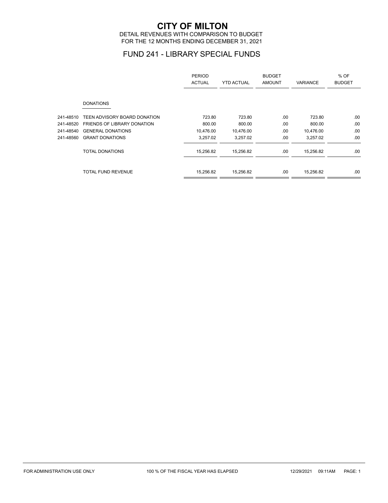# **CITY OF MILTON**

DETAIL REVENUES WITH COMPARISON TO BUDGET FOR THE 12 MONTHS ENDING DECEMBER 31, 2021

## FUND 241 - LIBRARY SPECIAL FUNDS

|           |                                    | PERIOD<br><b>ACTUAL</b> | <b>YTD ACTUAL</b> | <b>BUDGET</b><br><b>AMOUNT</b> | <b>VARIANCE</b> | % OF<br><b>BUDGET</b> |
|-----------|------------------------------------|-------------------------|-------------------|--------------------------------|-----------------|-----------------------|
|           | <b>DONATIONS</b>                   |                         |                   |                                |                 |                       |
| 241-48510 | TEEN ADVISORY BOARD DONATION       | 723.80                  | 723.80            | .00.                           | 723.80          | .00.                  |
| 241-48520 | <b>FRIENDS OF LIBRARY DONATION</b> | 800.00                  | 800.00            | .00                            | 800.00          | .00                   |
| 241-48540 | <b>GENERAL DONATIONS</b>           | 10,476.00               | 10,476.00         | .00                            | 10,476.00       | .00                   |
| 241-48560 | <b>GRANT DONATIONS</b>             | 3,257.02                | 3,257.02          | .00                            | 3,257.02        | .00.                  |
|           | <b>TOTAL DONATIONS</b>             | 15,256.82               | 15,256.82         | .00                            | 15,256.82       | .00                   |
|           | <b>TOTAL FUND REVENUE</b>          | 15,256.82               | 15,256.82         | .00.                           | 15,256.82       | .00                   |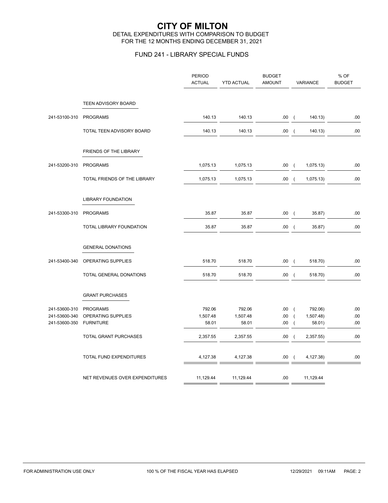### **CITY OF MILTON** DETAIL EXPENDITURES WITH COMPARISON TO BUDGET FOR THE 12 MONTHS ENDING DECEMBER 31, 2021

## FUND 241 - LIBRARY SPECIAL FUNDS

|               |                                | <b>PERIOD</b><br><b>ACTUAL</b> | <b>YTD ACTUAL</b> | <b>BUDGET</b><br><b>AMOUNT</b> | VARIANCE                    | % OF<br><b>BUDGET</b> |
|---------------|--------------------------------|--------------------------------|-------------------|--------------------------------|-----------------------------|-----------------------|
|               | TEEN ADVISORY BOARD            |                                |                   |                                |                             |                       |
| 241-53100-310 | PROGRAMS                       | 140.13                         | 140.13            | .00.                           | 140.13)<br>$\sqrt{2}$       | .00                   |
|               | TOTAL TEEN ADVISORY BOARD      | 140.13                         | 140.13            | .00.                           | 140.13)<br>$\sqrt{2}$       | .00                   |
|               | FRIENDS OF THE LIBRARY         |                                |                   |                                |                             |                       |
| 241-53200-310 | <b>PROGRAMS</b>                | 1,075.13                       | 1,075.13          | .00                            | 1,075.13)<br>$\left($       | .00                   |
|               | TOTAL FRIENDS OF THE LIBRARY   | 1,075.13                       | 1,075.13          | .00.                           | 1,075.13)<br>$\sqrt{ }$     | .00                   |
|               | <b>LIBRARY FOUNDATION</b>      |                                |                   |                                |                             |                       |
| 241-53300-310 | <b>PROGRAMS</b>                | 35.87                          | 35.87             | .00.                           | 35.87)<br>$\sqrt{2}$        | .00                   |
|               | TOTAL LIBRARY FOUNDATION       | 35.87                          | 35.87             | .00.                           | 35.87)<br>$\sqrt{2}$        | .00                   |
|               | <b>GENERAL DONATIONS</b>       |                                |                   |                                |                             |                       |
| 241-53400-340 | OPERATING SUPPLIES             | 518.70                         | 518.70            | .00.                           | 518.70)<br>$\sqrt{2}$       | .00                   |
|               | TOTAL GENERAL DONATIONS        | 518.70                         | 518.70            | .00(                           | 518.70)                     | .00                   |
|               | <b>GRANT PURCHASES</b>         |                                |                   |                                |                             |                       |
| 241-53600-310 | <b>PROGRAMS</b>                | 792.06                         | 792.06            | .00.                           | 792.06)<br>$\sqrt{2}$       | .00                   |
| 241-53600-340 | OPERATING SUPPLIES             | 1,507.48                       | 1,507.48          | .00.                           | 1,507.48)<br>$\sqrt{ }$     | .00                   |
| 241-53600-350 | <b>FURNITURE</b>               | 58.01                          | 58.01             | .00                            | 58.01)<br>$\left($          | .00                   |
|               | TOTAL GRANT PURCHASES          | 2,357.55                       | 2,357.55          | .00                            | 2,357.55)<br>$\overline{ }$ | .00                   |
|               | TOTAL FUND EXPENDITURES        | 4,127.38                       | 4,127.38          | .00                            | 4,127.38)<br>$\sqrt{ }$     | .00                   |
|               | NET REVENUES OVER EXPENDITURES | 11,129.44                      | 11,129.44         | .00                            | 11,129.44                   |                       |